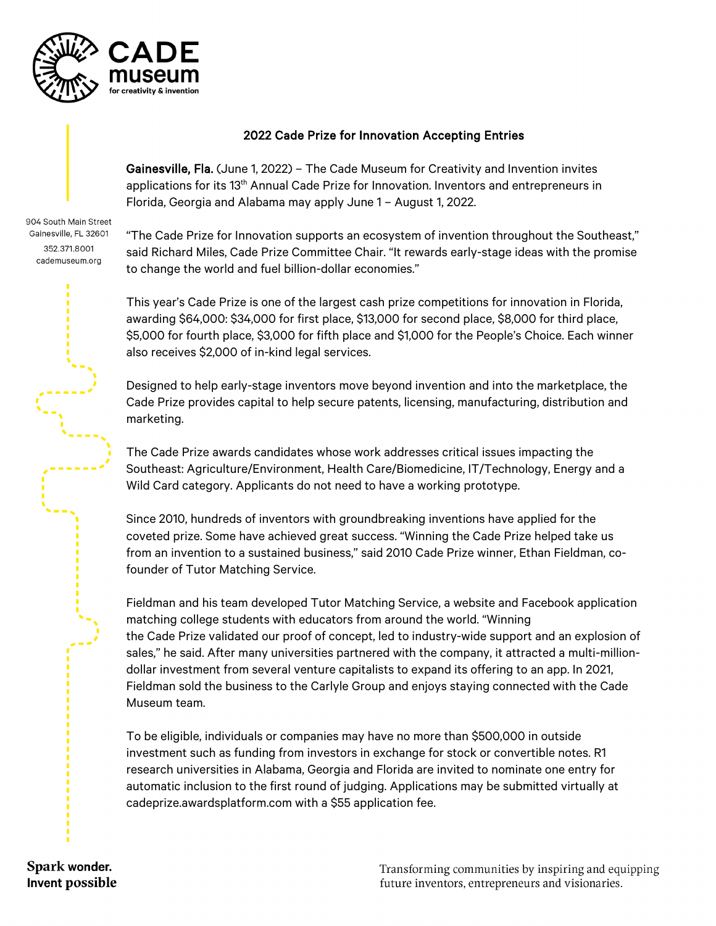

## 2022 Cade Prize for Innovation Accepting Entries

Gainesville, Fla. (June 1, 2022) – The Cade Museum for Creativity and Invention invites applications for its  $13<sup>th</sup>$  Annual Cade Prize for Innovation. Inventors and entrepreneurs in Florida, Georgia and Alabama may apply June 1 – August 1, 2022.

904 South Main Street Gainesville, FL 32601 352.371.8001 cademuseum.org

"The Cade Prize for Innovation supports an ecosystem of invention throughout the Southeast," said Richard Miles, Cade Prize Committee Chair. "It rewards early-stage ideas with the promise to change the world and fuel billion-dollar economies."

This year's Cade Prize is one of the largest cash prize competitions for innovation in Florida, awarding \$64,000: \$34,000 for first place, \$13,000 for second place, \$8,000 for third place, \$5,000 for fourth place, \$3,000 for fifth place and \$1,000 for the People's Choice. Each winner also receives \$2,000 of in-kind legal services.

Designed to help early-stage inventors move beyond invention and into the marketplace, the Cade Prize provides capital to help secure patents, licensing, manufacturing, distribution and marketing.

The Cade Prize awards candidates whose work addresses critical issues impacting the Southeast: Agriculture/Environment, Health Care/Biomedicine, IT/Technology, Energy and a Wild Card category. Applicants do not need to have a working prototype.

Since 2010, hundreds of inventors with groundbreaking inventions have applied for the coveted prize. Some have achieved great success. "Winning the Cade Prize helped take us from an invention to a sustained business," said 2010 Cade Prize winner, Ethan Fieldman, cofounder of Tutor Matching Service.

Fieldman and his team developed Tutor Matching Service, a website and Facebook application matching college students with educators from around the world. "Winning the Cade Prize validated our proof of concept, led to industry-wide support and an explosion of sales," he said. After many universities partnered with the company, it attracted a multi-milliondollar investment from several venture capitalists to expand its offering to an app. In 2021, Fieldman sold the business to the Carlyle Group and enjoys staying connected with the Cade Museum team.

To be eligible, individuals or companies may have no more than \$500,000 in outside investment such as funding from investors in exchange for stock or convertible notes. R1 research universities in Alabama, Georgia and Florida are invited to nominate one entry for automatic inclusion to the first round of judging. Applications may be submitted virtually at cadeprize.awardsplatform.com with a \$55 application fee.

Spark wonder. Invent possible